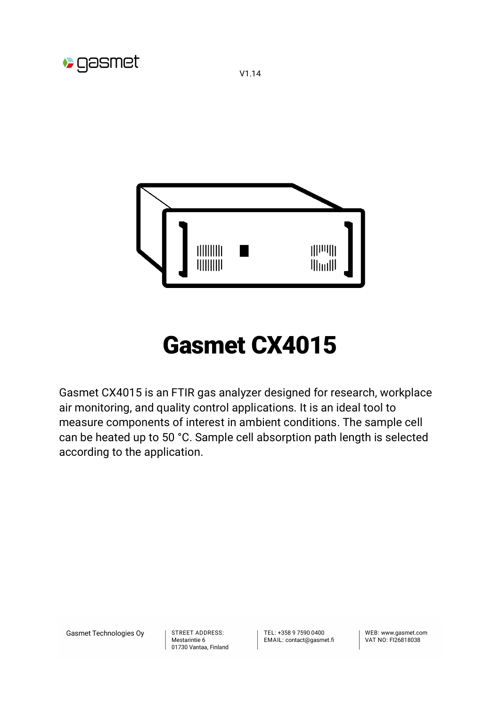

V1.14



# Gasmet CX4015

Gasmet CX4015 is an FTIR gas analyzer designed for research, workplace air monitoring, and quality control applications. It is an ideal tool to measure components of interest in ambient conditions. The sample cell can be heated up to 50 °C. Sample cell absorption path length is selected according to the application.

Gasmet Technologies Oy

STREET ADDRESS: Mestarintie 6 01730 Vantaa, Finland TFL: +358 9 7590 0400 EMAIL: contact@gasmet.fi

WFB: www.gasmet.com VAT NO: FI26818038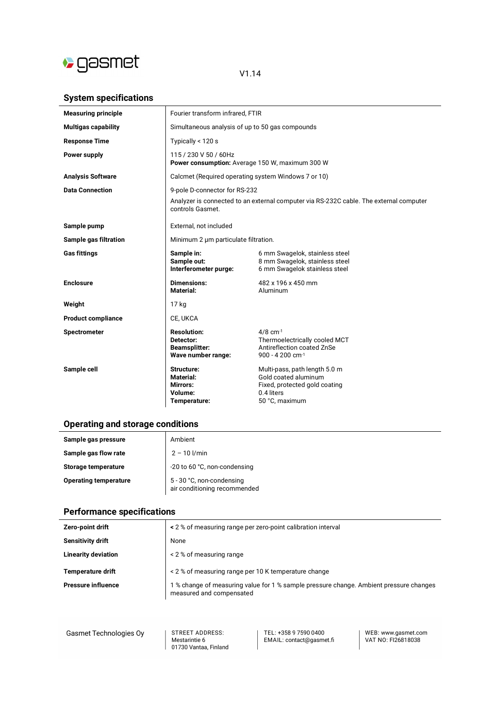

## V1.14

## **System specifications**

| <b>Measuring principle</b> | Fourier transform infrared, FTIR                                              |                                                                                                                        |
|----------------------------|-------------------------------------------------------------------------------|------------------------------------------------------------------------------------------------------------------------|
| <b>Multigas capability</b> | Simultaneous analysis of up to 50 gas compounds                               |                                                                                                                        |
| <b>Response Time</b>       | Typically < 120 s                                                             |                                                                                                                        |
| Power supply               | 115 / 230 V 50 / 60Hz<br>Power consumption: Average 150 W, maximum 300 W      |                                                                                                                        |
| <b>Analysis Software</b>   | Calcmet (Required operating system Windows 7 or 10)                           |                                                                                                                        |
| <b>Data Connection</b>     | 9-pole D-connector for RS-232                                                 |                                                                                                                        |
|                            | controls Gasmet.                                                              | Analyzer is connected to an external computer via RS-232C cable. The external computer                                 |
| Sample pump                | External, not included                                                        |                                                                                                                        |
| Sample gas filtration      | Minimum 2 µm particulate filtration.                                          |                                                                                                                        |
| <b>Gas fittings</b>        | Sample in:<br>Sample out:<br>Interferometer purge:                            | 6 mm Swagelok, stainless steel<br>8 mm Swagelok, stainless steel<br>6 mm Swagelok stainless steel                      |
| <b>Enclosure</b>           | <b>Dimensions:</b><br>Material:                                               | 482 x 196 x 450 mm<br>Aluminum                                                                                         |
| Weight                     | 17 kg                                                                         |                                                                                                                        |
| <b>Product compliance</b>  | CE, UKCA                                                                      |                                                                                                                        |
| <b>Spectrometer</b>        | <b>Resolution:</b><br>Detector:<br><b>Beamsplitter:</b><br>Wave number range: | $4/8$ cm $^{-1}$<br>Thermoelectrically cooled MCT<br>Antireflection coated ZnSe<br>900 - 4 200 cm $^{-1}$              |
| Sample cell                | Structure:<br>Material:<br>Mirrors:<br>Volume:<br>Temperature:                | Multi-pass, path length 5.0 m<br>Gold coated aluminum<br>Fixed, protected gold coating<br>0.4 liters<br>50 °C, maximum |

## **Operating and storage conditions**

| Sample gas pressure          | Ambient                                                   |
|------------------------------|-----------------------------------------------------------|
| Sample gas flow rate         | $2 - 10$ $1/min$                                          |
| Storage temperature          | -20 to 60 °C, non-condensing                              |
| <b>Operating temperature</b> | 5 - 30 °C, non-condensing<br>air conditioning recommended |

## **Performance specifications**

| Zero-point drift           | < 2 % of measuring range per zero-point calibration interval                                                       |
|----------------------------|--------------------------------------------------------------------------------------------------------------------|
| Sensitivity drift          | None                                                                                                               |
| <b>Linearity deviation</b> | < 2 % of measuring range                                                                                           |
| <b>Temperature drift</b>   | < 2 % of measuring range per 10 K temperature change                                                               |
| <b>Pressure influence</b>  | 1 % change of measuring value for 1 % sample pressure change. Ambient pressure changes<br>measured and compensated |

Gasmet Technologies Oy

**STREET ADDRESS:** STREET ADDRESS.<br>Mestarintie 6<br>01730 Vantaa, Finland TEL: +358 9 7590 0400<br>EMAIL: contact@gasmet.fi

WEB: www.gasmet.com<br>VAT NO: FI26818038